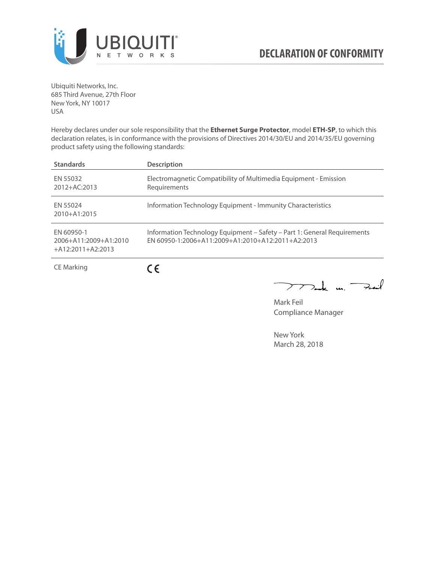

Ubiquiti Networks, Inc. 685 Third Avenue, 27th Floor New York, NY 10017 USA

Hereby declares under our sole responsibility that the **Ethernet Surge Protector**, model **ETH-SP**, to which this declaration relates, is in conformance with the provisions of Directives 2014/30/EU and 2014/35/EU governing product safety using the following standards:

| <b>Standards</b>                                           | <b>Description</b>                                                                                                              |
|------------------------------------------------------------|---------------------------------------------------------------------------------------------------------------------------------|
| EN 55032<br>$2012 + AC:2013$                               | Electromagnetic Compatibility of Multimedia Equipment - Emission<br>Requirements                                                |
| EN 55024<br>2010+A1:2015                                   | Information Technology Equipment - Immunity Characteristics                                                                     |
| EN 60950-1<br>2006+A11:2009+A1:2010<br>$+A12:2011+A2:2013$ | Information Technology Equipment - Safety - Part 1: General Requirements<br>$FN$ 60950-1:2006+A11:2009+A1:2010+A12:2011+A2:2013 |
|                                                            |                                                                                                                                 |

CE Marking

 $C \in$ 

 $\nabla$ ak un  $\rightarrow$ ail  $\searrow$ 

Mark Feil Compliance Manager

New York March 28, 2018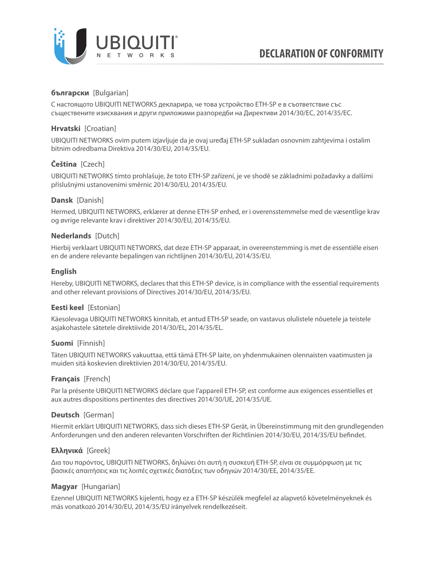

# **български** [Bulgarian]

С настоящото UBIQUITI NETWORKS декларира, че това устройство ETH-SP е в съответствие със съществените изисквания и други приложими разпоредби на Директиви 2014/30/ЕС, 2014/35/ЕС.

## **Hrvatski** [Croatian]

UBIQUITI NETWORKS ovim putem izjavljuje da je ovaj uređaj ETH-SP sukladan osnovnim zahtjevima i ostalim bitnim odredbama Direktiva 2014/30/EU, 2014/35/EU.

# **Čeština** [Czech]

UBIQUITI NETWORKS tímto prohlašuje, že toto ETH-SP zařízení, je ve shodě se základními požadavky a dalšími příslušnými ustanoveními směrnic 2014/30/EU, 2014/35/EU.

### **Dansk** [Danish]

Hermed, UBIQUITI NETWORKS, erklærer at denne ETH-SP enhed, er i overensstemmelse med de væsentlige krav og øvrige relevante krav i direktiver 2014/30/EU, 2014/35/EU.

### **Nederlands** [Dutch]

Hierbij verklaart UBIQUITI NETWORKS, dat deze ETH-SP apparaat, in overeenstemming is met de essentiële eisen en de andere relevante bepalingen van richtlijnen 2014/30/EU, 2014/35/EU.

### **English**

Hereby, UBIQUITI NETWORKS, declares that this ETH-SP device, is in compliance with the essential requirements and other relevant provisions of Directives 2014/30/EU, 2014/35/EU.

## **Eesti keel** [Estonian]

Käesolevaga UBIQUITI NETWORKS kinnitab, et antud ETH-SP seade, on vastavus olulistele nõuetele ja teistele asjakohastele sätetele direktiivide 2014/30/EL, 2014/35/EL.

## **Suomi** [Finnish]

Täten UBIQUITI NETWORKS vakuuttaa, että tämä ETH-SP laite, on yhdenmukainen olennaisten vaatimusten ja muiden sitä koskevien direktiivien 2014/30/EU, 2014/35/EU.

#### **Français** [French]

Par la présente UBIQUITI NETWORKS déclare que l'appareil ETH-SP, est conforme aux exigences essentielles et aux autres dispositions pertinentes des directives 2014/30/UE, 2014/35/UE.

## **Deutsch** [German]

Hiermit erklärt UBIQUITI NETWORKS, dass sich dieses ETH-SP Gerät, in Übereinstimmung mit den grundlegenden Anforderungen und den anderen relevanten Vorschriften der Richtlinien 2014/30/EU, 2014/35/EU befindet.

## **Ελληνικά** [Greek]

Δια του παρόντος, UBIQUITI NETWORKS, δηλώνει ότι αυτή η συσκευή ETH-SP, είναι σε συμμόρφωση με τις βασικές απαιτήσεις και τις λοιπές σχετικές διατάξεις των οδηγιών 2014/30/EE, 2014/35/EE.

## **Magyar** [Hungarian]

Ezennel UBIQUITI NETWORKS kijelenti, hogy ez a ETH-SP készülék megfelel az alapvető követelményeknek és más vonatkozó 2014/30/EU, 2014/35/EU irányelvek rendelkezéseit.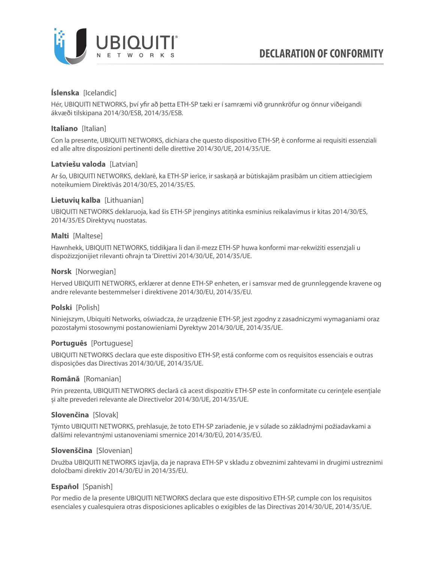

## **Íslenska** [Icelandic]

Hér, UBIQUITI NETWORKS, því yfir að þetta ETH-SP tæki er í samræmi við grunnkröfur og önnur viðeigandi ákvæði tilskipana 2014/30/ESB, 2014/35/ESB.

### **Italiano** [Italian]

Con la presente, UBIQUITI NETWORKS, dichiara che questo dispositivo ETH-SP, è conforme ai requisiti essenziali ed alle altre disposizioni pertinenti delle direttive 2014/30/UE, 2014/35/UE.

### **Latviešu valoda** [Latvian]

Ar šo, UBIQUITI NETWORKS, deklarē, ka ETH-SP ierīce, ir saskaņā ar būtiskajām prasībām un citiem attiecīgiem noteikumiem Direktīvās 2014/30/ES, 2014/35/ES.

### **Lietuvių kalba** [Lithuanian]

UBIQUITI NETWORKS deklaruoja, kad šis ETH-SP įrenginys atitinka esminius reikalavimus ir kitas 2014/30/ES, 2014/35/ES Direktyvų nuostatas.

#### **Malti** [Maltese]

Hawnhekk, UBIQUITI NETWORKS, tiddikjara li dan il-mezz ETH-SP huwa konformi mar-rekwiżiti essenzjali u dispożizzjonijiet rilevanti oħrajn ta 'Direttivi 2014/30/UE, 2014/35/UE.

### **Norsk** [Norwegian]

Herved UBIQUITI NETWORKS, erklærer at denne ETH-SP enheten, er i samsvar med de grunnleggende kravene og andre relevante bestemmelser i direktivene 2014/30/EU, 2014/35/EU.

## **Polski** [Polish]

Niniejszym, Ubiquiti Networks, oświadcza, że urządzenie ETH-SP, jest zgodny z zasadniczymi wymaganiami oraz pozostałymi stosownymi postanowieniami Dyrektyw 2014/30/UE, 2014/35/UE.

## **Português** [Portuguese]

UBIQUITI NETWORKS declara que este dispositivo ETH-SP, está conforme com os requisitos essenciais e outras disposições das Directivas 2014/30/UE, 2014/35/UE.

#### **Română** [Romanian]

Prin prezenta, UBIQUITI NETWORKS declară că acest dispozitiv ETH-SP este în conformitate cu cerințele esențiale și alte prevederi relevante ale Directivelor 2014/30/UE, 2014/35/UE.

## **Slovenčina** [Slovak]

Týmto UBIQUITI NETWORKS, prehlasuje, že toto ETH-SP zariadenie, je v súlade so základnými požiadavkami a ďalšími relevantnými ustanoveniami smernice 2014/30/EÚ, 2014/35/EÚ.

#### **Slovenščina** [Slovenian]

Družba UBIQUITI NETWORKS izjavlja, da je naprava ETH-SP v skladu z obveznimi zahtevami in drugimi ustreznimi določbami direktiv 2014/30/EU in 2014/35/EU.

## **Español** [Spanish]

Por medio de la presente UBIQUITI NETWORKS declara que este dispositivo ETH-SP, cumple con los requisitos esenciales y cualesquiera otras disposiciones aplicables o exigibles de las Directivas 2014/30/UE, 2014/35/UE.